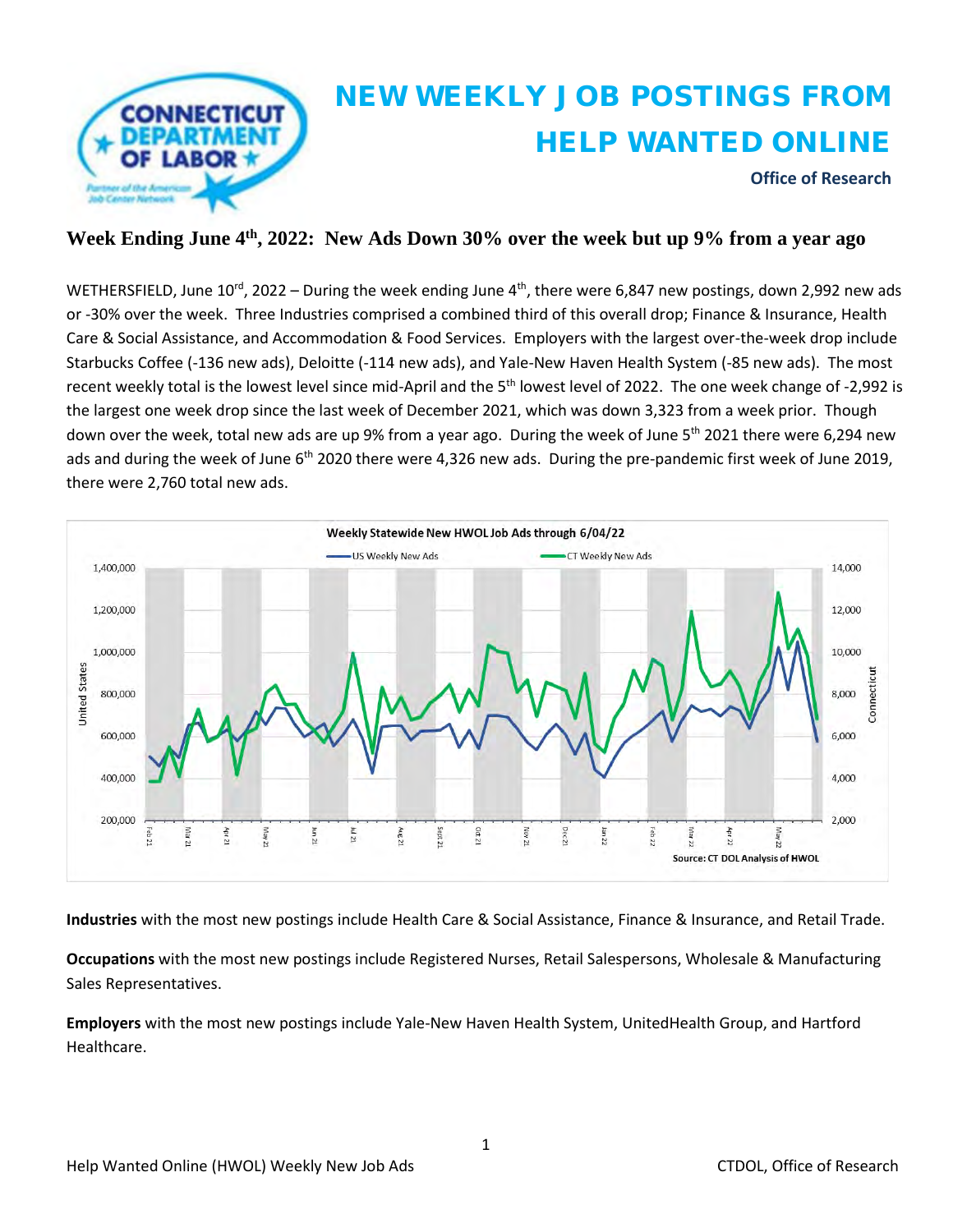

#### **Week Ending June 4th, 2022: New Ads Down 30% over the week but up 9% from a year ago**

WETHERSFIELD, June 10<sup>rd</sup>, 2022 – During the week ending June 4<sup>th</sup>, there were 6,847 new postings, down 2,992 new ads or -30% over the week. Three Industries comprised a combined third of this overall drop; Finance & Insurance, Health Care & Social Assistance, and Accommodation & Food Services. Employers with the largest over-the-week drop include Starbucks Coffee (-136 new ads), Deloitte (-114 new ads), and Yale-New Haven Health System (-85 new ads). The most recent weekly total is the lowest level since mid-April and the 5<sup>th</sup> lowest level of 2022. The one week change of -2,992 is the largest one week drop since the last week of December 2021, which was down 3,323 from a week prior. Though down over the week, total new ads are up 9% from a year ago. During the week of June 5<sup>th</sup> 2021 there were 6,294 new ads and during the week of June  $6<sup>th</sup>$  2020 there were 4,326 new ads. During the pre-pandemic first week of June 2019, there were 2,760 total new ads.



**Industries** with the most new postings include Health Care & Social Assistance, Finance & Insurance, and Retail Trade.

**Occupations** with the most new postings include Registered Nurses, Retail Salespersons, Wholesale & Manufacturing Sales Representatives.

**Employers** with the most new postings include Yale-New Haven Health System, UnitedHealth Group, and Hartford Healthcare.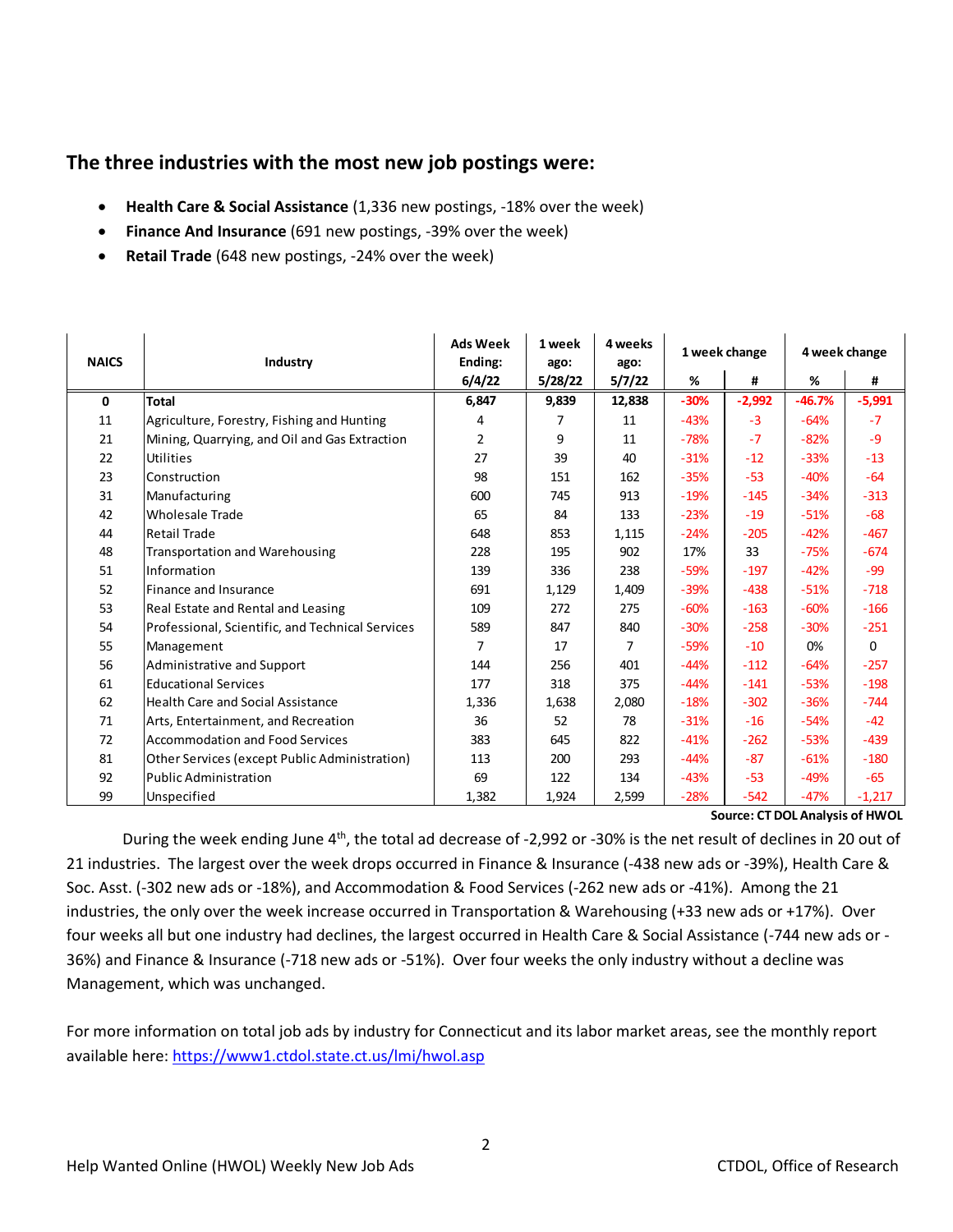## **The three industries with the most new job postings were:**

- **Health Care & Social Assistance** (1,336 new postings, -18% over the week)
- **Finance And Insurance** (691 new postings, -39% over the week)
- **Retail Trade** (648 new postings, -24% over the week)

| <b>NAICS</b> | Industry                                         | <b>Ads Week</b><br>Ending: | 1 week<br>ago: | 4 weeks<br>ago: | 1 week change |          | 4 week change |          |
|--------------|--------------------------------------------------|----------------------------|----------------|-----------------|---------------|----------|---------------|----------|
|              |                                                  | 6/4/22                     | 5/28/22        | 5/7/22          | %             | #        | %             | #        |
| 0            | <b>Total</b>                                     | 6,847                      | 9,839          | 12,838          | $-30%$        | $-2,992$ | $-46.7%$      | $-5,991$ |
| 11           | Agriculture, Forestry, Fishing and Hunting       | 4                          | 7              | 11              | $-43%$        | $-3$     | $-64%$        | $-7$     |
| 21           | Mining, Quarrying, and Oil and Gas Extraction    | $\overline{2}$             | 9              | 11              | $-78%$        | $-7$     | $-82%$        | $-9$     |
| 22           | <b>Utilities</b>                                 | 27                         | 39             | 40              | $-31%$        | $-12$    | $-33%$        | $-13$    |
| 23           | Construction                                     | 98                         | 151            | 162             | $-35%$        | $-53$    | $-40%$        | $-64$    |
| 31           | Manufacturing                                    | 600                        | 745            | 913             | $-19%$        | $-145$   | $-34%$        | $-313$   |
| 42           | <b>Wholesale Trade</b>                           | 65                         | 84             | 133             | $-23%$        | $-19$    | $-51%$        | $-68$    |
| 44           | Retail Trade                                     | 648                        | 853            | 1,115           | $-24%$        | $-205$   | $-42%$        | $-467$   |
| 48           | <b>Transportation and Warehousing</b>            | 228                        | 195            | 902             | 17%           | 33       | $-75%$        | $-674$   |
| 51           | Information                                      | 139                        | 336            | 238             | $-59%$        | $-197$   | $-42%$        | $-99$    |
| 52           | Finance and Insurance                            | 691                        | 1,129          | 1,409           | $-39%$        | $-438$   | $-51%$        | $-718$   |
| 53           | Real Estate and Rental and Leasing               | 109                        | 272            | 275             | $-60%$        | $-163$   | $-60%$        | $-166$   |
| 54           | Professional, Scientific, and Technical Services | 589                        | 847            | 840             | $-30%$        | $-258$   | $-30%$        | $-251$   |
| 55           | Management                                       | 7                          | 17             | 7               | $-59%$        | $-10$    | 0%            | $\Omega$ |
| 56           | Administrative and Support                       | 144                        | 256            | 401             | $-44%$        | $-112$   | $-64%$        | $-257$   |
| 61           | <b>Educational Services</b>                      | 177                        | 318            | 375             | $-44%$        | $-141$   | $-53%$        | $-198$   |
| 62           | Health Care and Social Assistance                | 1,336                      | 1,638          | 2,080           | $-18%$        | $-302$   | $-36%$        | $-744$   |
| 71           | Arts, Entertainment, and Recreation              | 36                         | 52             | 78              | $-31%$        | $-16$    | $-54%$        | $-42$    |
| 72           | Accommodation and Food Services                  | 383                        | 645            | 822             | $-41%$        | $-262$   | $-53%$        | $-439$   |
| 81           | Other Services (except Public Administration)    | 113                        | 200            | 293             | $-44%$        | $-87$    | $-61%$        | $-180$   |
| 92           | Public Administration                            | 69                         | 122            | 134             | $-43%$        | $-53$    | $-49%$        | $-65$    |
| 99           | Unspecified                                      | 1,382                      | 1,924          | 2,599           | $-28%$        | $-542$   | $-47%$        | $-1,217$ |
|              | Source: CT DOL Analysis of HWOL                  |                            |                |                 |               |          |               |          |
|              |                                                  |                            |                |                 |               |          |               |          |

During the week ending June 4<sup>th</sup>, the total ad decrease of -2,992 or -30% is the net result of declines in 20 out of 21 industries. The largest over the week drops occurred in Finance & Insurance (-438 new ads or -39%), Health Care & Soc. Asst. (-302 new ads or -18%), and Accommodation & Food Services (-262 new ads or -41%). Among the 21 industries, the only over the week increase occurred in Transportation & Warehousing (+33 new ads or +17%). Over four weeks all but one industry had declines, the largest occurred in Health Care & Social Assistance (-744 new ads or - 36%) and Finance & Insurance (-718 new ads or -51%). Over four weeks the only industry without a decline was Management, which was unchanged.

For more information on total job ads by industry for Connecticut and its labor market areas, see the monthly report available here:<https://www1.ctdol.state.ct.us/lmi/hwol.asp>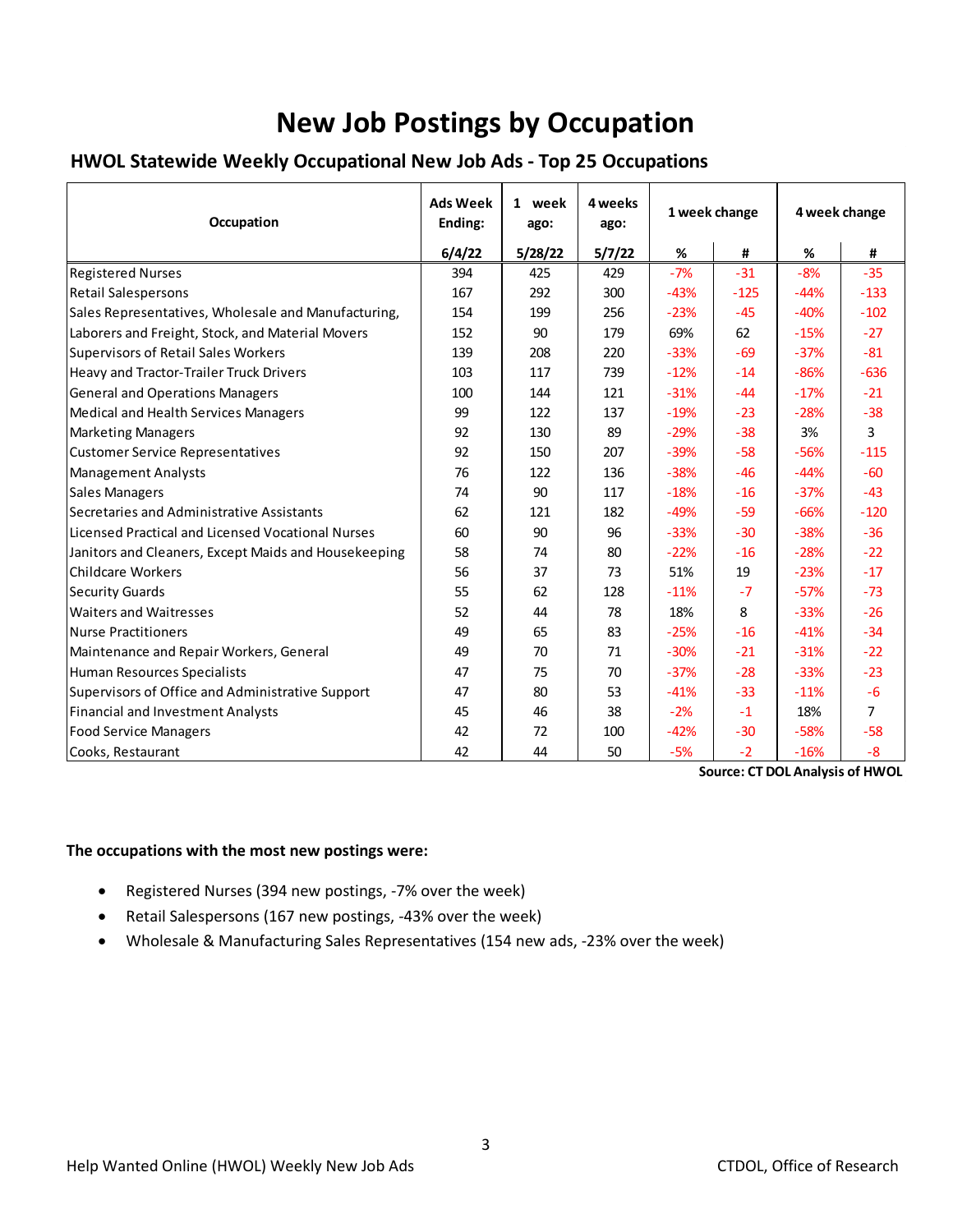# **New Job Postings by Occupation**

## **HWOL Statewide Weekly Occupational New Job Ads - Top 25 Occupations**

| Occupation                                           | <b>Ads Week</b><br>Ending: | 1 week<br>ago: | 4 weeks<br>ago: | 1 week change |        | 4 week change |                |
|------------------------------------------------------|----------------------------|----------------|-----------------|---------------|--------|---------------|----------------|
|                                                      | 6/4/22                     | 5/28/22        | 5/7/22          | %             | #      | %             | #              |
| <b>Registered Nurses</b>                             | 394                        | 425            | 429             | $-7%$         | $-31$  | $-8%$         | $-35$          |
| <b>Retail Salespersons</b>                           | 167                        | 292            | 300             | $-43%$        | $-125$ | $-44%$        | $-133$         |
| Sales Representatives, Wholesale and Manufacturing,  | 154                        | 199            | 256             | $-23%$        | $-45$  | $-40%$        | $-102$         |
| Laborers and Freight, Stock, and Material Movers     | 152                        | 90             | 179             | 69%           | 62     | $-15%$        | $-27$          |
| <b>Supervisors of Retail Sales Workers</b>           | 139                        | 208            | 220             | $-33%$        | $-69$  | $-37%$        | $-81$          |
| Heavy and Tractor-Trailer Truck Drivers              | 103                        | 117            | 739             | $-12%$        | $-14$  | $-86%$        | $-636$         |
| <b>General and Operations Managers</b>               | 100                        | 144            | 121             | $-31%$        | $-44$  | $-17%$        | $-21$          |
| Medical and Health Services Managers                 | 99                         | 122            | 137             | $-19%$        | $-23$  | $-28%$        | $-38$          |
| <b>Marketing Managers</b>                            | 92                         | 130            | 89              | $-29%$        | $-38$  | 3%            | 3              |
| <b>Customer Service Representatives</b>              | 92                         | 150            | 207             | $-39%$        | $-58$  | -56%          | $-115$         |
| <b>Management Analysts</b>                           | 76                         | 122            | 136             | $-38%$        | $-46$  | $-44%$        | $-60$          |
| <b>Sales Managers</b>                                | 74                         | 90             | 117             | $-18%$        | $-16$  | $-37%$        | $-43$          |
| Secretaries and Administrative Assistants            | 62                         | 121            | 182             | $-49%$        | $-59$  | $-66%$        | $-120$         |
| Licensed Practical and Licensed Vocational Nurses    | 60                         | 90             | 96              | $-33%$        | $-30$  | $-38%$        | $-36$          |
| Janitors and Cleaners, Except Maids and Housekeeping | 58                         | 74             | 80              | $-22%$        | $-16$  | $-28%$        | $-22$          |
| <b>Childcare Workers</b>                             | 56                         | 37             | 73              | 51%           | 19     | $-23%$        | $-17$          |
| <b>Security Guards</b>                               | 55                         | 62             | 128             | $-11%$        | $-7$   | $-57%$        | $-73$          |
| <b>Waiters and Waitresses</b>                        | 52                         | 44             | 78              | 18%           | 8      | $-33%$        | $-26$          |
| Nurse Practitioners                                  | 49                         | 65             | 83              | $-25%$        | $-16$  | $-41%$        | $-34$          |
| Maintenance and Repair Workers, General              | 49                         | 70             | 71              | $-30%$        | $-21$  | $-31%$        | $-22$          |
| Human Resources Specialists                          | 47                         | 75             | 70              | $-37%$        | $-28$  | $-33%$        | $-23$          |
| Supervisors of Office and Administrative Support     | 47                         | 80             | 53              | $-41%$        | $-33$  | $-11%$        | $-6$           |
| Financial and Investment Analysts                    | 45                         | 46             | 38              | $-2%$         | $-1$   | 18%           | $\overline{7}$ |
| <b>Food Service Managers</b>                         | 42                         | 72             | 100             | $-42%$        | $-30$  | $-58%$        | $-58$          |
| Cooks, Restaurant                                    | 42                         | 44             | 50              | $-5%$         | $-2$   | $-16%$        | $-8$           |
| <b>Source: CT DOL Analysis of HWOL</b>               |                            |                |                 |               |        |               |                |

### **The occupations with the most new postings were:**

- Registered Nurses (394 new postings, -7% over the week)
- Retail Salespersons (167 new postings, -43% over the week)
- Wholesale & Manufacturing Sales Representatives (154 new ads, -23% over the week)